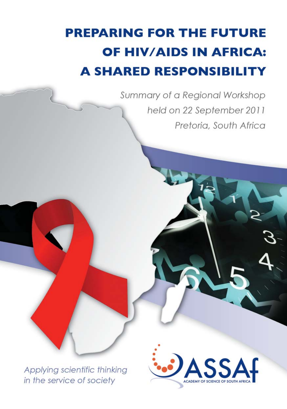# **PREPARING FOR THE FUTURE** OF HIV/AIDS IN AFRICA: **A SHARED RESPONSIBILITY**

Summary of a Regional Workshop held on 22 September 2011 Pretoria, South Africa

Applying scientific thinking in the service of society

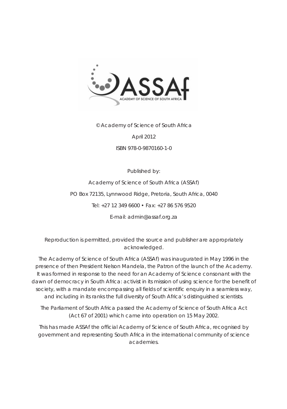

© Academy of Science of South Africa

April 2012

ISBN 978-0-9870160-1-0

Published by:

Academy of Science of South Africa (ASSAf) PO Box 72135, Lynnwood Ridge, Pretoria, South Africa, 0040 Tel: +27 12 349 6600 • Fax: +27 86 576 9520 E-mail: admin@assaf.org.za

Reproduction is permitted, provided the source and publisher are appropriately acknowledged.

The Academy of Science of South Africa (ASSAf) was inaugurated in May 1996 in the presence of then President Nelson Mandela, the Patron of the launch of the Academy. It was formed in response to the need for an Academy of Science consonant with the dawn of democracy in South Africa: activist in its mission of using science for the benefit of society, with a mandate encompassing all fields of scientific enquiry in a seamless way, and including in its ranks the full diversity of South Africa's distinguished scientists.

The Parliament of South Africa passed the Academy of Science of South Africa Act *(Act 67 of 2001)* which came into operation on 15 May 2002.

This has made ASSAf the official Academy of Science of South Africa, recognised by government and representing South Africa in the international community of science academies.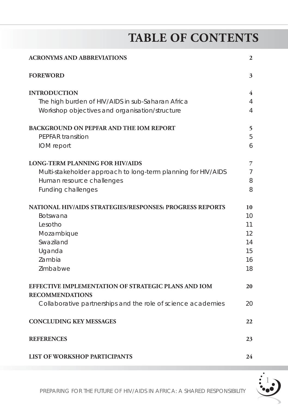## **TABLE OF CONTENTS**

| <b>ACRONYMS AND ABBREVIATIONS</b>                                                                                                                                 | $\mathbf{2}$                                 |  |
|-------------------------------------------------------------------------------------------------------------------------------------------------------------------|----------------------------------------------|--|
| <b>FOREWORD</b>                                                                                                                                                   | 3                                            |  |
| <b>INTRODUCTION</b><br>The high burden of HIV/AIDS in sub-Saharan Africa<br>Workshop objectives and organisation/structure                                        | 4<br>4<br>4                                  |  |
| <b>BACKGROUND ON PEPFAR AND THE IOM REPORT</b><br>PEPFAR transition<br>IOM report                                                                                 | 5<br>5<br>6                                  |  |
| <b>LONG-TERM PLANNING FOR HIV/AIDS</b><br>Multi-stakeholder approach to long-term planning for HIV/AIDS<br>Human resource challenges<br><b>Funding challenges</b> | 7<br>$\overline{7}$<br>8<br>8                |  |
| NATIONAL HIV/AIDS STRATEGIES/RESPONSES: PROGRESS REPORTS<br><b>Botswana</b><br>Lesotho<br>Mozambique<br>Swaziland<br>Uganda<br>Zambia<br>Zimbabwe                 | 10<br>10<br>11<br>12<br>14<br>15<br>16<br>18 |  |
| <b>EFFECTIVE IMPLEMENTATION OF STRATEGIC PLANS AND IOM</b><br><b>RECOMMENDATIONS</b><br>Collaborative partnerships and the role of science academies              | 20<br>20                                     |  |
| <b>CONCLUDING KEY MESSAGES</b><br>22                                                                                                                              |                                              |  |
| <b>REFERENCES</b>                                                                                                                                                 |                                              |  |
| <b>LIST OF WORKSHOP PARTICIPANTS</b>                                                                                                                              |                                              |  |

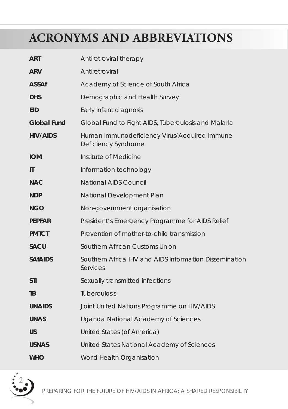## **ACRONYMS AND ABBREVIATIONS**

| <b>ART</b>         | Antiretroviral therapy                                              |
|--------------------|---------------------------------------------------------------------|
| <b>ARV</b>         | Antiretroviral                                                      |
| <b>ASSAf</b>       | Academy of Science of South Africa                                  |
| <b>DHS</b>         | Demographic and Health Survey                                       |
| <b>EID</b>         | Early infant diagnosis                                              |
| <b>Global Fund</b> | Global Fund to Fight AIDS, Tuberculosis and Malaria                 |
| <b>HIV/AIDS</b>    | Human Immunodeficiency Virus/Acquired Immune<br>Deficiency Syndrome |
| <b>IOM</b>         | Institute of Medicine                                               |
| IT                 | Information technology                                              |
| <b>NAC</b>         | <b>National AIDS Council</b>                                        |
| <b>NDP</b>         | National Development Plan                                           |
| <b>NGO</b>         | Non-government organisation                                         |
| <b>PEPFAR</b>      | President's Emergency Programme for AIDS Relief                     |
| <b>PMTCT</b>       | Prevention of mother-to-child transmission                          |
| <b>SACU</b>        | Southern African Customs Union                                      |
| <b>SAfAIDS</b>     | Southern Africa HIV and AIDS Information Dissemination<br>Services  |
| <b>STI</b>         | Sexually transmitted infections                                     |
| TB                 | <b>Tuberculosis</b>                                                 |
| <b>UNAIDS</b>      | Joint United Nations Programme on HIV/AIDS                          |
| <b>UNAS</b>        | Uganda National Academy of Sciences                                 |
| US                 | United States (of America)                                          |
| <b>USNAS</b>       | United States National Academy of Sciences                          |
| <b>WHO</b>         | World Health Organisation                                           |

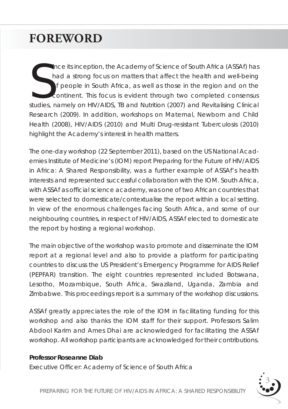## **FOREWORD**

Since its inception, the Academy of Science of South Africa (ASSAf) has<br>had a strong focus on matters that affect the health and well-being<br>of people in South Africa, as well as those in the region and on the<br>continent. Th ince its inception, the Academy of Science of South Africa (ASSAf) has had a strong focus on matters that affect the health and well-being of people in South Africa, as well as those in the region and on the continent. This focus is evident through two completed consensus *Research* (2009). In addition, workshops on Maternal, Newborn and Child Health (2008), HIV/AIDS (2010) and Multi Drug-resistant Tuberculosis (2010) highlight the Academy's interest in health matters.

The one-day workshop (22 September 2011), based on the US National Academies Institute of Medicine's (IOM) report *Preparing for the Future of HIV/AIDS in Africa: A Shared Responsibility*, was a further example of ASSAf's health interests and represented successful collaboration with the IOM. South Africa, with ASSAf as official science academy, was one of two African countries that were selected to domesticate/contextualise the report within a local setting. In view of the enormous challenges facing South Africa, and some of our neighbouring countries, in respect of HIV/AIDS, ASSAf elected to domesticate the report by hosting a regional workshop.

The main objective of the workshop was to promote and disseminate the IOM report at a regional level and also to provide a platform for participating countries to discuss the US President's Emergency Programme for AIDS Relief (PEPFAR) transition. The eight countries represented included Botswana, Lesotho, Mozambique, South Africa, Swaziland, Uganda, Zambia and Zimbabwe. This proceedings report is a summary of the workshop discussions.

ASSAf greatly appreciates the role of the IOM in facilitating funding for this workshop and also thanks the IOM staff for their support. Professors Salim Abdool Karim and Ames Dhai are acknowledged for facilitating the ASSAf workshop. All workshop participants are acknowledged for their contributions.

#### **Professor Roseanne Diab**

Executive Officer: Academy of Science of South Africa

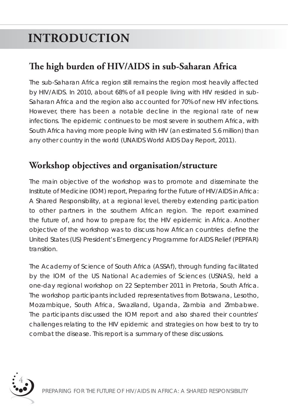# **INTRODUCTION**

### **The high burden of HIV/AIDS in sub-Saharan Africa**

The sub-Saharan Africa region still remains the region most heavily affected by HIV/AIDS. In 2010, about 68% of all people living with HIV resided in sub-Saharan Africa and the region also accounted for 70% of new HIV infections. However, there has been a notable decline in the regional rate of new infections. The epidemic continues to be most severe in southern Africa, with South Africa having more people living with HIV (an estimated 5.6 million) than any other country in the world (*UNAIDS World AIDS Day Report,* 2011).

#### **Workshop objectives and organisation/structure**

The main objective of the workshop was to promote and disseminate the Institute of Medicine (IOM) report, *Preparing for the Future of HIV/AIDS in Africa: A Shared Responsibility*, at a regional level, thereby extending participation to other partners in the southern African region. The report examined the future of, and how to prepare for, the HIV epidemic in Africa. Another objective of the workshop was to discuss how African countries define the United States (US) President's Emergency Programme for AIDS Relief (PEPFAR) transition.

The Academy of Science of South Africa (ASSAf), through funding facilitated by the IOM of the US National Academies of Sciences (USNAS), held a one-day regional workshop on 22 September 2011 in Pretoria, South Africa. The workshop participants included representatives from Botswana, Lesotho, Mozambique, South Africa, Swaziland, Uganda, Zambia and Zimbabwe. The participants discussed the IOM report and also shared their countries' challenges relating to the HIV epidemic and strategies on how best to try to combat the disease. This report is a summary of these discussions.

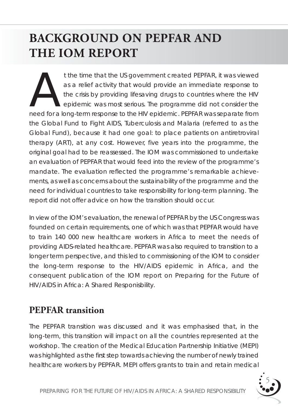## **BACKGROUND ON PEPFAR AND THE IOM REPORT**

t the time that the US government created PEPFAR, it was viewed<br>as a relief activity that would provide an immediate response to<br>the crisis by providing lifesaving drugs to countries where the HIV<br>epidemic was most serious as a relief activity that would provide an immediate response to the crisis by providing lifesaving drugs to countries where the HIV epidemic was most serious. The programme did not consider the need for a long-term response to the HIV epidemic. PEPFAR was separate from the Global Fund to Fight AIDS, Tuberculosis and Malaria (referred to as the Global Fund), because it had one goal: to place patients on antiretroviral therapy (ART), at any cost. However, five years into the programme, the original goal had to be reassessed. The IOM was commissioned to undertake an evaluation of PEPFAR that would feed into the review of the programme's mandate. The evaluation reflected the programme's remarkable achievements, as well as concerns about the sustainability of the programme and the need for individual countries to take responsibility for long-term planning. The report did not offer advice on how the transition should occur.

In view of the IOM's evaluation, the renewal of PEPFAR by the US Congress was founded on certain requirements, one of which was that PEPFAR would have to train 140 000 new healthcare workers in Africa to meet the needs of providing AIDS-related healthcare. PEPFAR was also required to transition to a longer term perspective, and this led to commissioning of the IOM to consider the long-term response to the HIV/AIDS epidemic in Africa, and the consequent publication of the IOM report on *Preparing for the Future of HIV/AIDS in Africa: A Shared Responisbility.* 

#### **PEPFAR transition**

The PEPFAR transition was discussed and it was emphasised that, in the long-term, this transition will impact on all the countries represented at the workshop. The creation of the Medical Education Partnership Initiative (MEPI) was highlighted as the first step towards achieving the number of newly trained healthcare workers by PEPFAR. MEPI offers grants to train and retain medical

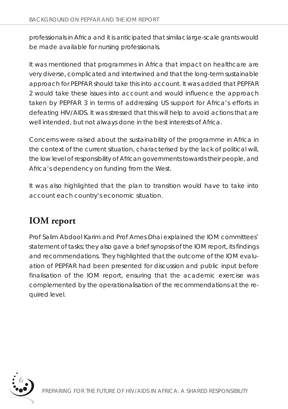professionals in Africa and it is anticipated that similar, large-scale grants would be made available for nursing professionals.

It was mentioned that programmes in Africa that impact on healthcare are very diverse, complicated and intertwined and that the long-term sustainable approach for PEPFAR should take this into account. It was added that PEPFAR 2 would take these issues into account and would influence the approach taken by PEPFAR 3 in terms of addressing US support for Africa's efforts in defeating HIV/AIDS. It was stressed that this will help to avoid actions that are well intended, but not always done in the best interests of Africa.

Concerns were raised about the sustainability of the programme in Africa in the context of the current situation, characterised by the lack of political will, the low level of responsibility of African governments towards their people, and Africa's dependency on funding from the West.

It was also highlighted that the plan to transition would have to take into account each country's economic situation.

### **IOM report**

Prof Salim Abdool Karim and Prof Ames Dhai explained the IOM committees' statement of tasks; they also gave a brief synopsis of the IOM report, its findings and recommendations. They highlighted that the outcome of the IOM evaluation of PEPFAR had been presented for discussion and public input before finalisation of the IOM report, ensuring that the academic exercise was complemented by the operationalisation of the recommendations at the required level.

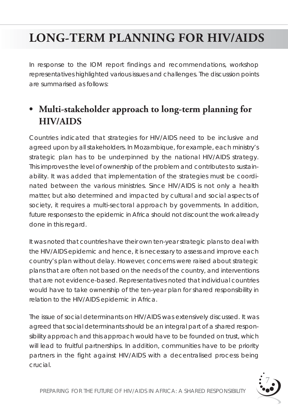## **LONG-TERM PLANNING FOR HIV/AIDS**

In response to the IOM report findings and recommendations, workshop representatives highlighted various issues and challenges. The discussion points are summarised as follows:

### **• Multi-stakeholder approach to long-term planning for HIV/AIDS**

Countries indicated that strategies for HIV/AIDS need to be inclusive and agreed upon by all stakeholders. In Mozambique, for example, each ministry's strategic plan has to be underpinned by the national HIV/AIDS strategy. This improves the level of ownership of the problem and contributes to sustainability. It was added that implementation of the strategies must be coordinated between the various ministries. Since HIV/AIDS is not only a health matter, but also determined and impacted by cultural and social aspects of society, it requires a multi-sectoral approach by governments. In addition, future responses to the epidemic in Africa should not discount the work already done in this regard.

It was noted that countries have their own ten-year strategic plans to deal with the HIV/AIDS epidemic and hence, it is necessary to assess and improve each country's plan without delay. However, concerns were raised about strategic plans that are often not based on the needs of the country, and interventions that are not evidence-based. Representatives noted that individual countries would have to take ownership of the ten-year plan for shared responsibility in relation to the HIV/AIDS epidemic in Africa.

The issue of social determinants on HIV/AIDS was extensively discussed. It was agreed that social determinants should be an integral part of a shared responsibility approach and this approach would have to be founded on trust, which will lead to fruitful partnerships. In addition, communities have to be priority partners in the fight against HIV/AIDS with a decentralised process being crucial.

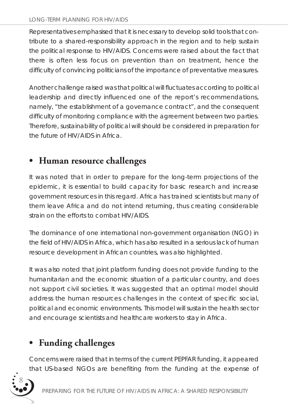Representatives emphasised that it is necessary to develop solid tools that contribute to a shared-responsibility approach in the region and to help sustain the political response to HIV/AIDS. Concerns were raised about the fact that there is often less focus on prevention than on treatment, hence the difficulty of convincing politicians of the importance of preventative measures.

Another challenge raised was that political will fluctuates according to political leadership and directly influenced one of the report's recommendations, namely, "the establishment of a governance contract", and the consequent difficulty of monitoring compliance with the agreement between two parties. Therefore, sustainability of political will should be considered in preparation for the future of HIV/AIDS in Africa.

### **• Human resource challenges**

It was noted that in order to prepare for the long-term projections of the epidemic, it is essential to build capacity for basic research and increase government resources in this regard. Africa has trained scientists but many of them leave Africa and do not intend returning, thus creating considerable strain on the efforts to combat HIV/AIDS.

The dominance of one international non-government organisation (NGO) in the field of HIV/AIDS in Africa, which has also resulted in a serious lack of human resource development in African countries, was also highlighted.

It was also noted that joint platform funding does not provide funding to the humanitarian and the economic situation of a particular country, and does not support civil societies. It was suggested that an optimal model should address the human resources challenges in the context of specific social, political and economic environments. This model will sustain the health sector and encourage scientists and healthcare workers to stay in Africa.

### **• Funding challenges**

Concerns were raised that in terms of the current PEPFAR funding, it appeared that US-based NGOs are benefiting from the funding at the expense of

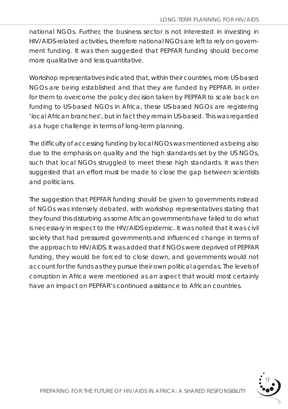national NGOs. Further, the business sector is not interested in investing in HIV/AIDS-related activities, therefore national NGOs are left to rely on government funding. It was then suggested that PEPFAR funding should become more qualitative and less quantitative.

Workshop representatives indicated that, within their countries, more US-based NGOs are being established and that they are funded by PEPFAR. In order for them to overcome the policy decision taken by PEPFAR to scale back on funding to US-based NGOs in Africa, these US-based NGOs are registering 'local African branches', but in fact they remain US-based. This was regarded as a huge challenge in terms of long-term planning.

The difficulty of accessing funding by local NGOs was mentioned as being also due to the emphasis on quality and the high standards set by the US NGOs, such that local NGOs struggled to meet these high standards. It was then suggested that an effort must be made to close the gap between scientists and politicians.

The suggestion that PEPFAR funding should be given to governments instead of NGOs was intensely debated, with workshop representatives stating that they found this disturbing as some African governments have failed to do what is necessary in respect to the HIV/AIDS epidemic. It was noted that it was civil society that had pressured governments and influenced change in terms of the approach to HIV/AIDS. It was added that if NGOs were deprived of PEPFAR funding, they would be forced to close down, and governments would not account for the funds as they pursue their own political agendas. The levels of corruption in Africa were mentioned as an aspect that would most certainly have an impact on PEPFAR's continued assistance to African countries.

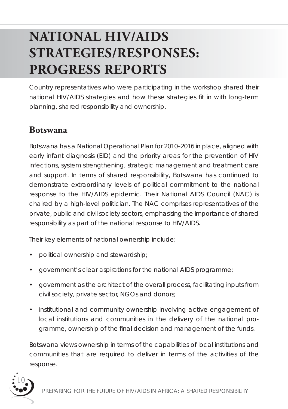# **NATIONAL HIV/AIDS STRATEGIES/RESPONSES: PROGRESS REPORTS**

Country representatives who were participating in the workshop shared their national HIV/AIDS strategies and how these strategies fit in with long-term planning, shared responsibility and ownership.

#### **Botswana**

Botswana has a National Operational Plan for 2010–2016 in place, aligned with early infant diagnosis (EID) and the priority areas for the prevention of HIV infections, system strengthening, strategic management and treatment care and support. In terms of shared responsibility, Botswana has continued to demonstrate extraordinary levels of political commitment to the national response to the HIV/AIDS epidemic. Their National AIDS Council (NAC) is chaired by a high-level politician. The NAC comprises representatives of the private, public and civil society sectors, emphasising the importance of shared responsibility as part of the national response to HIV/AIDS.

Their key elements of national ownership include:

- political ownership and stewardship;
- government's clear aspirations for the national AIDS programme;
- government as the architect of the overall process, facilitating inputs from civil society, private sector, NGOs and donors;
- institutional and community ownership involving active engagement of local institutions and communities in the delivery of the national programme, ownership of the final decision and management of the funds.

Botswana views ownership in terms of the capabilities of local institutions and communities that are required to deliver in terms of the activities of the response.

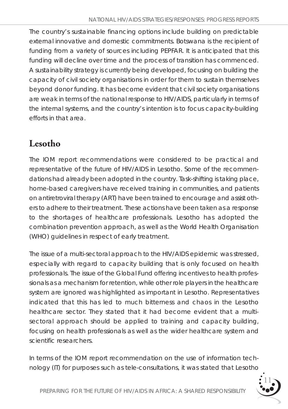The country's sustainable financing options include building on predictable external innovative and domestic commitments. Botswana is the recipient of funding from a variety of sources including PEPFAR. It is anticipated that this funding will decline over time and the process of transition has commenced. A sustainability strategy is currently being developed, focusing on building the capacity of civil society organisations in order for them to sustain themselves beyond donor funding. It has become evident that civil society organisations are weak in terms of the national response to HIV/AIDS, particularly in terms of the internal systems, and the country's intention is to focus capacity-building efforts in that area.

### **Lesotho**

The IOM report recommendations were considered to be practical and representative of the future of HIV/AIDS in Lesotho. Some of the recommendations had already been adopted in the country. Task-shifting is taking place, home-based caregivers have received training in communities, and patients on antiretroviral therapy (ART) have been trained to encourage and assist others to adhere to their treatment. These actions have been taken as a response to the shortages of healthcare professionals. Lesotho has adopted the combination prevention approach, as well as the World Health Organisation (WHO) guidelines in respect of early treatment.

The issue of a multi-sectoral approach to the HIV/AIDS epidemic was stressed, especially with regard to capacity building that is only focused on health professionals. The issue of the Global Fund offering incentives to health professionals as a mechanism for retention, while other role players in the healthcare system are ignored was highlighted as important in Lesotho. Representatives indicated that this has led to much bitterness and chaos in the Lesotho healthcare sector. They stated that it had become evident that a multisectoral approach should be applied to training and capacity building, focusing on health professionals as well as the wider healthcare system and scientific researchers.

In terms of the IOM report recommendation on the use of information technology (IT) for purposes such as tele-consultations, it was stated that Lesotho

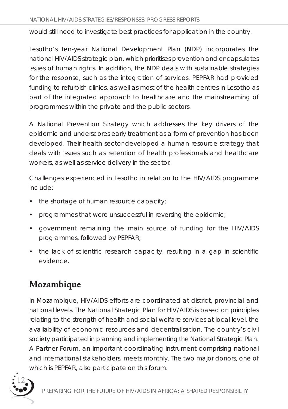would still need to investigate best practices for application in the country.

Lesotho's ten-year National Development Plan (NDP) incorporates the national HIV/AIDS strategic plan, which prioritises prevention and encapsulates issues of human rights. In addition, the NDP deals with sustainable strategies for the response, such as the integration of services. PEPFAR had provided funding to refurbish clinics, as well as most of the health centres in Lesotho as part of the integrated approach to healthcare and the mainstreaming of programmes within the private and the public sectors.

A National Prevention Strategy which addresses the key drivers of the epidemic and underscores early treatment as a form of prevention has been developed. Their health sector developed a human resource strategy that deals with issues such as retention of health professionals and healthcare workers, as well as service delivery in the sector.

Challenges experienced in Lesotho in relation to the HIV/AIDS programme include:

- the shortage of human resource capacity;
- programmes that were unsuccessful in reversing the epidemic;
- government remaining the main source of funding for the HIV/AIDS programmes, followed by PEPFAR;
- the lack of scientific research capacity, resulting in a gap in scientific evidence.

### **Mozambique**

In Mozambique, HIV/AIDS efforts are coordinated at district, provincial and national levels. The National Strategic Plan for HIV/AIDS is based on principles relating to the strength of health and social welfare services at local level, the availability of economic resources and decentralisation. The country's civil society participated in planning and implementing the National Strategic Plan. A Partner Forum, an important coordinating instrument comprising national and international stakeholders, meets monthly. The two major donors, one of which is PEPFAR, also participate on this forum.

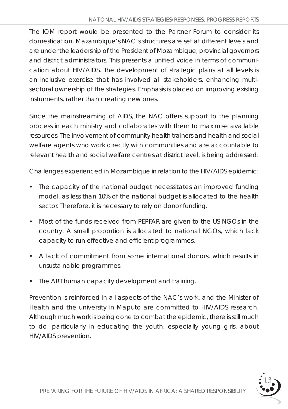The IOM report would be presented to the Partner Forum to consider its domestication. Mazambique's NAC's structures are set at different levels and are under the leadership of the President of Mozambique, provincial governors and district administrators. This presents a unified voice in terms of communication about HIV/AIDS. The development of strategic plans at all levels is an inclusive exercise that has involved all stakeholders, enhancing multisectoral ownership of the strategies. Emphasis is placed on improving existing instruments, rather than creating new ones.

Since the mainstreaming of AIDS, the NAC offers support to the planning process in each ministry and collaborates with them to maximise available resources. The involvement of community health trainers and health and social welfare agents who work directly with communities and are accountable to relevant health and social welfare centres at district level, is being addressed.

Challenges experienced in Mozambique in relation to the HIV/AIDS epidemic:

- The capacity of the national budget necessitates an improved funding model, as less than 10% of the national budget is allocated to the health sector. Therefore, it is necessary to rely on donor funding.
- Most of the funds received from PEPFAR are given to the US NGOs in the country. A small proportion is allocated to national NGOs, which lack capacity to run effective and efficient programmes.
- A lack of commitment from some international donors, which results in unsustainable programmes.
- The ART human capacity development and training.

Prevention is reinforced in all aspects of the NAC's work, and the Minister of Health and the university in Maputo are committed to HIV/AIDS research. Although much work is being done to combat the epidemic, there is still much to do, particularly in educating the youth, especially young girls, about HIV/AIDS prevention.

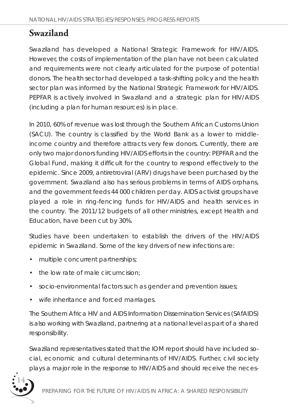### **Swaziland**

Swaziland has developed a National Strategic Framework for HIV/AIDS. However, the costs of implementation of the plan have not been calculated and requirements were not clearly articulated for the purpose of potential donors. The health sector had developed a task-shifting policy and the health sector plan was informed by the National Strategic Framework for HIV/AIDS. PEPFAR is actively involved in Swaziland and a strategic plan for HIV/AIDS (including a plan for human resources) is in place.

In 2010, 60% of revenue was lost through the Southern African Customs Union (SACU). The country is classified by the World Bank as a lower to middleincome country and therefore attracts very few donors. Currently, there are only two major donors funding HIV/AIDS efforts in the country: PEPFAR and the Global Fund, making it difficult for the country to respond effectively to the epidemic. Since 2009, antiretroviral (ARV) drugs have been purchased by the government. Swaziland also has serious problems in terms of AIDS orphans, and the government feeds 44 000 children per day. AIDS activist groups have played a role in ring-fencing funds for HIV/AIDS and health services in the country. The 2011/12 budgets of all other ministries, except Health and Education, have been cut by 30%.

Studies have been undertaken to establish the drivers of the HIV/AIDS epidemic in Swaziland. Some of the key drivers of new infections are:

- multiple concurrent partnerships;
- the low rate of male circumcision:
- socio-environmental factors such as gender and prevention issues;
- wife inheritance and forced marriages.

The Southern Africa HIV and AIDS Information Dissemination Services (SAfAIDS) is also working with Swaziland, partnering at a national level as part of a shared responsibility.

Swaziland representatives stated that the IOM report should have included social, economic and cultural determinants of HIV/AIDS. Further, civil society plays a major role in the response to HIV/AIDS and should receive the neces-

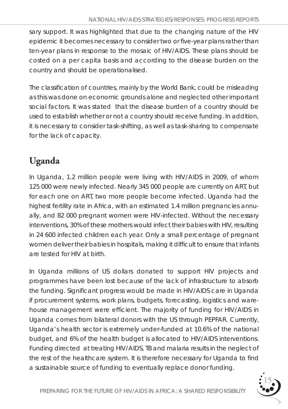sary support. It was highlighted that due to the changing nature of the HIV epidemic it becomes necessary to consider two or five-year plans rather than ten-year plans in response to the mosaic of HIV/AIDS. These plans should be costed on a *per capita* basis and according to the disease burden on the country and should be operationalised.

The classification of countries, mainly by the World Bank, could be misleading as this was done on economic grounds alone and neglected other important social factors. It was stated that the disease burden of a country should be used to establish whether or not a country should receive funding. In addition, it is necessary to consider task-shifting, as well as task-sharing to compensate for the lack of capacity.

### **Uganda**

In Uganda, 1.2 million people were living with HIV/AIDS in 2009, of whom 125 000 were newly infected. Nearly 345 000 people are currently on ART, but for each one on ART, two more people become infected. Uganda had the highest fertility rate in Africa, with an estimated 1.4 million pregnancies annually, and 82 000 pregnant women were HIV-infected. Without the necessary interventions, 30% of these mothers would infect their babies with HIV, resulting in 24 600 infected children each year. Only a small percentage of pregnant women deliver their babies in hospitals, making it difficult to ensure that infants are tested for HIV at birth.

In Uganda millions of US dollars donated to support HIV projects and programmes have been lost because of the lack of infrastructure to absorb the funding. Significant progress would be made in HIV/AIDS care in Uganda if procurement systems, work plans, budgets, forecasting, logistics and warehouse management were efficient. The majority of funding for HIV/AIDS in Uganda comes from bilateral donors with the US through PEPFAR. Currently, Uganda's health sector is extremely under-funded at 10.6% of the national budget, and 6% of the health budget is allocated to HIV/AIDS interventions. Funding directed at treating HIV/AIDS, TB and malaria results in the neglect of the rest of the healthcare system. It is therefore necessary for Uganda to find a sustainable source of funding to eventually replace donor funding.

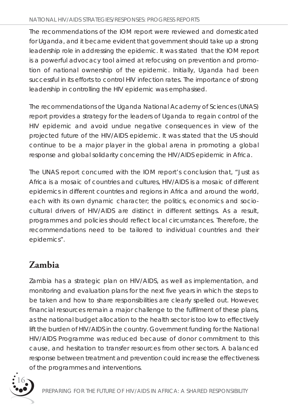#### *NATIONAL HIV/AIDS STRATEGIES/RESPONSES: PROGRESS REPORTS*

The recommendations of the IOM report were reviewed and domesticated for Uganda, and it became evident that government should take up a strong leadership role in addressing the epidemic. It was stated that the IOM report is a powerful advocacy tool aimed at refocusing on prevention and promotion of national ownership of the epidemic. Initially, Uganda had been successful in its efforts to control HIV infection rates. The importance of strong leadership in controlling the HIV epidemic was emphasised.

The recommendations of the Uganda National Academy of Sciences (UNAS) report provides a strategy for the leaders of Uganda to regain control of the HIV epidemic and avoid undue negative consequences in view of the projected future of the HIV/AIDS epidemic. It was stated that the US should continue to be a major player in the global arena in promoting a global response and global solidarity concerning the HIV/AIDS epidemic in Africa.

The UNAS report concurred with the IOM report's conclusion that, *"Just as Africa is a mosaic of countries and cultures, HIV/AIDS is a mosaic of different epidemics in different countries and regions in Africa and around the world, each with its own dynamic character; the politics, economics and sociocultural drivers of HIV/AIDS are distinct in different settings. As a result, programmes and policies should reflect local circumstances. Therefore, the* recommendations need to be tailored to individual countries and their *epidemics".* 

### **Zambia**

Zambia has a strategic plan on HIV/AIDS, as well as implementation, and monitoring and evaluation plans for the next five years in which the steps to be taken and how to share responsibilities are clearly spelled out. However, financial resources remain a major challenge to the fulfilment of these plans, as the national budget allocation to the health sector is too low to effectively lift the burden of HIV/AIDS in the country. Government funding for the National HIV/AIDS Programme was reduced because of donor commitment to this cause, and hesitation to transfer resources from other sectors. A balanced response between treatment and prevention could increase the effectiveness of the programmes and interventions.

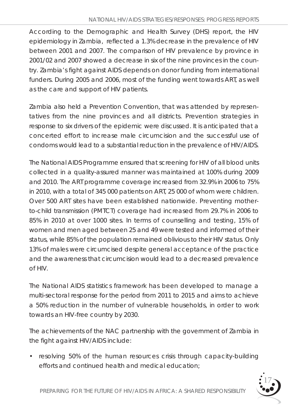According to the Demographic and Health Survey (DHS) report, the HIV epidemiology in Zambia, reflected a 1.3% decrease in the prevalence of HIV between 2001 and 2007. The comparison of HIV prevalence by province in 2001/02 and 2007 showed a decrease in six of the nine provinces in the country. Zambia's fight against AIDS depends on donor funding from international funders. During 2005 and 2006, most of the funding went towards ART, as well as the care and support of HIV patients.

Zambia also held a Prevention Convention, that was attended by representatives from the nine provinces and all districts. Prevention strategies in response to six drivers of the epidemic were discussed. It is anticipated that a concerted effort to increase male circumcision and the successful use of condoms would lead to a substantial reduction in the prevalence of HIV/AIDS.

The National AIDS Programme ensured that screening for HIV of all blood units collected in a quality-assured manner was maintained at 100% during 2009 and 2010. The ART programme coverage increased from 32.9% in 2006 to 75% in 2010, with a total of 345 000 patients on ART, 25 000 of whom were children. Over 500 ART sites have been established nationwide. Preventing motherto-child transmission (PMTCT) coverage had increased from 29.7% in 2006 to 85% in 2010 at over 1000 sites. In terms of counselling and testing, 15% of women and men aged between 25 and 49 were tested and informed of their status, while 85% of the population remained oblivious to their HIV status. Only 13% of males were circumcised despite general acceptance of the practice and the awareness that circumcision would lead to a decreased prevalence of HIV.

The National AIDS statistics framework has been developed to manage a multi-sectoral response for the period from 2011 to 2015 and aims to achieve a 50% reduction in the number of vulnerable households, in order to work towards an HIV-free country by 2030.

The achievements of the NAC partnership with the government of Zambia in the fight against HIV/AIDS include:

• resolving 50% of the human resources crisis through capacity-building efforts and continued health and medical education;

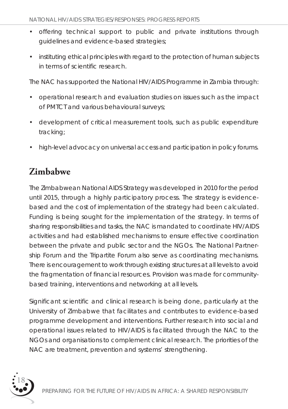- offering technical support to public and private institutions through guidelines and evidence-based strategies;
- instituting ethical principles with regard to the protection of human subjects in terms of scientific research.

The NAC has supported the National HIV/AIDS Programme in Zambia through:

- operational research and evaluation studies on issues such as the impact of PMTCT and various behavioural surveys;
- development of critical measurement tools, such as public expenditure tracking;
- high-level advocacy on universal access and participation in policy forums.

### **Zimbabwe**

The Zimbabwean National AIDS Strategy was developed in 2010 for the period until 2015, through a highly participatory process. The strategy is evidencebased and the cost of implementation of the strategy had been calculated. Funding is being sought for the implementation of the strategy. In terms of sharing responsibilities and tasks, the NAC is mandated to coordinate HIV/AIDS activities and had established mechanisms to ensure effective coordination between the private and public sector and the NGOs. The National Partnership Forum and the Tripartite Forum also serve as coordinating mechanisms. There is encouragement to work through existing structures at all levels to avoid the fragmentation of financial resources. Provision was made for communitybased training, interventions and networking at all levels.

Significant scientific and clinical research is being done, particularly at the University of Zimbabwe that facilitates and contributes to evidence-based programme development and interventions. Further research into social and operational issues related to HIV/AIDS is facilitated through the NAC to the NGOs and organisations to complement clinical research. The priorities of the NAC are treatment, prevention and systems' strengthening.

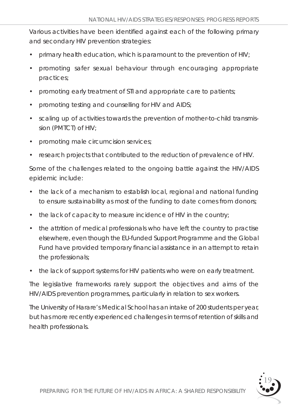Various activities have been identified against each of the following primary and secondary HIV prevention strategies:

- primary health education, which is paramount to the prevention of HIV;
- promoting safer sexual behaviour through encouraging appropriate practices;
- promoting early treatment of STI and appropriate care to patients;
- promoting testing and counselling for HIV and AIDS;
- scaling up of activities towards the prevention of mother-to-child transmission (PMTCT) of HIV;
- promoting male circumcision services;
- research projects that contributed to the reduction of prevalence of HIV.

Some of the challenges related to the ongoing battle against the HIV/AIDS epidemic include:

- the lack of a mechanism to establish local, regional and national funding to ensure sustainability as most of the funding to date comes from donors;
- the lack of capacity to measure incidence of HIV in the country;
- the attrition of medical professionals who have left the country to practise elsewhere, even though the EU-funded Support Programme and the Global Fund have provided temporary financial assistance in an attempt to retain the professionals;
- the lack of support systems for HIV patients who were on early treatment.

The legislative frameworks rarely support the objectives and aims of the HIV/AIDS prevention programmes, particularly in relation to sex workers.

The University of Harare's Medical School has an intake of 200 students per year, but has more recently experienced challenges in terms of retention of skills and health professionals.

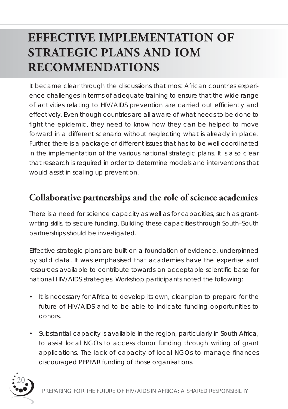## **EFFECTIVE IMPLEMENTATION OF STRATEGIC PLANS AND IOM RECOMMENDATIONS**

It became clear through the discussions that most African countries experience challenges in terms of adequate training to ensure that the wide range of activities relating to HIV/AIDS prevention are carried out efficiently and effectively. Even though countries are all aware of what needs to be done to fight the epidemic, they need to know how they can be helped to move forward in a different scenario without neglecting what is already in place. Further, there is a package of different issues that has to be well coordinated in the implementation of the various national strategic plans. It is also clear that research is required in order to determine models and interventions that would assist in scaling up prevention.

### **Collaborative partnerships and the role of science academies**

There is a need for science capacity as well as for capacities, such as grantwriting skills, to secure funding. Building these capacities through South–South partnerships should be investigated.

Effective strategic plans are built on a foundation of evidence, underpinned by solid data. It was emphasised that academies have the expertise and resources available to contribute towards an acceptable scientific base for national HIV/AIDS strategies. Workshop participants noted the following:

- It is necessary for Africa to develop its own, clear plan to prepare for the future of HIV/AIDS and to be able to indicate funding opportunities to donors.
- Substantial capacity is available in the region, particularly in South Africa, to assist local NGOs to access donor funding through writing of grant applications. The lack of capacity of local NGOs to manage finances discouraged PEPFAR funding of those organisations.

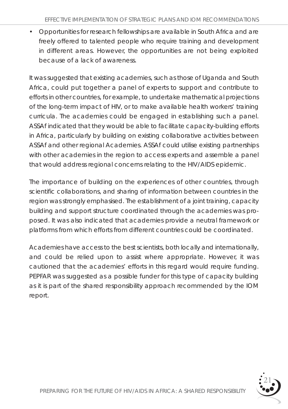• Opportunities for research fellowships are available in South Africa and are freely offered to talented people who require training and development in different areas. However, the opportunities are not being exploited because of a lack of awareness.

It was suggested that existing academies, such as those of Uganda and South Africa, could put together a panel of experts to support and contribute to efforts in other countries, for example, to undertake mathematical projections of the long-term impact of HIV, or to make available health workers' training curricula. The academies could be engaged in establishing such a panel. ASSAf indicated that they would be able to facilitate capacity-building efforts in Africa, particularly by building on existing collaborative activities between ASSAf and other regional Academies. ASSAf could utilise existing partnerships with other academies in the region to access experts and assemble a panel that would address regional concerns relating to the HIV/AIDS epidemic.

The importance of building on the experiences of other countries, through scientific collaborations, and sharing of information between countries in the region was strongly emphasised. The establishment of a joint training, capacity building and support structure coordinated through the academies was proposed. It was also indicated that academies provide a neutral framework or platforms from which efforts from different countries could be coordinated.

Academies have access to the best scientists, both locally and internationally, and could be relied upon to assist where appropriate. However, it was cautioned that the academies' efforts in this regard would require funding. PEPFAR was suggested as a possible funder for this type of capacity building as it is part of the shared responsibility approach recommended by the IOM report.

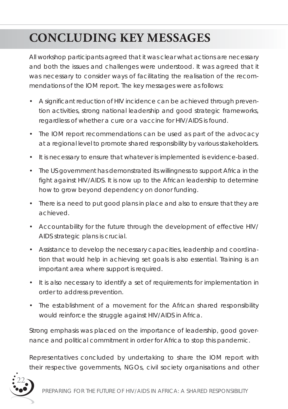## **CONCLUDING KEY MESSAGES**

All workshop participants agreed that it was clear what actions are necessary and both the issues and challenges were understood. It was agreed that it was necessary to consider ways of facilitating the realisation of the recommendations of the IOM report. The key messages were as follows:

- A significant reduction of HIV incidence can be achieved through prevention activities, strong national leadership and good strategic frameworks, regardless of whether a cure or a vaccine for HIV/AIDS is found.
- The IOM report recommendations can be used as part of the advocacy at a regional level to promote shared responsibility by various stakeholders.
- It is necessary to ensure that whatever is implemented is evidence-based.
- The US government has demonstrated its willingness to support Africa in the fight against HIV/AIDS. It is now up to the African leadership to determine how to grow beyond dependency on donor funding.
- There is a need to put good plans in place and also to ensure that they are achieved.
- Accountability for the future through the development of effective HIV/ AIDS strategic plans is crucial.
- Assistance to develop the necessary capacities, leadership and coordination that would help in achieving set goals is also essential. Training is an important area where support is required.
- It is also necessary to identify a set of requirements for implementation in order to address prevention.
- The establishment of a movement for the African shared responsibility would reinforce the struggle against HIV/AIDS in Africa.

Strong emphasis was placed on the importance of leadership, good governance and political commitment in order for Africa to stop this pandemic.

Representatives concluded by undertaking to share the IOM report with their respective governments, NGOs, civil society organisations and other

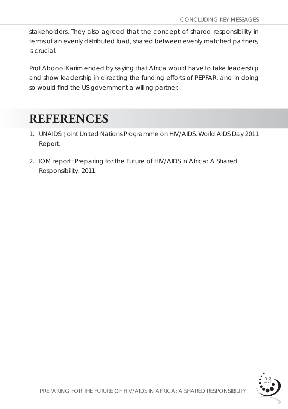stakeholders. They also agreed that the concept of shared responsibility in terms of an evenly distributed load, shared between evenly matched partners, is crucial.

Prof Abdool Karim ended by saying that Africa would have to take leadership and show leadership in directing the funding efforts of PEPFAR, and in doing so would find the US government a willing partner.

## **REFERENCES**

- 1. UNAIDS: *Joint United Nations Programme on HIV/AIDS.* World AIDS Day 2011 Report.
- 2. IOM report: *Preparing for the Future of HIV/AIDS in Africa: A Shared Responsibility*. 2011.

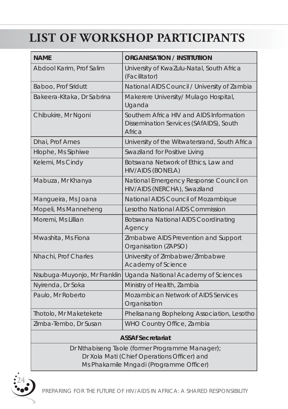## **LIST OF WORKSHOP PARTICIPANTS**

| <b>NAME</b>                  | <b>ORGANISATION / INSTITUTIION</b>                                                            |  |
|------------------------------|-----------------------------------------------------------------------------------------------|--|
| Abdool Karim, Prof Salim     | University of KwaZulu-Natal, South Africa<br>(Facilitator)                                    |  |
| Baboo, Prof Sridutt          | National AIDS Council / University of Zambia                                                  |  |
| Bakeera-Kitaka, Dr Sabrina   | Makerere University/ Mulago Hospital,<br>Uganda                                               |  |
| Chibukire, Mr Ngoni          | Southern Africa HIV and AIDS Information<br>Dissemination Services (SAfAIDS), South<br>Africa |  |
| Dhai, Prof Ames              | University of the Witwatersrand, South Africa                                                 |  |
| Hlophe, Ms Siphiwe           | Swaziland for Positive Living                                                                 |  |
| Kelemi, Ms Cindy             | Botswana Network of Ethics, Law and<br><b>HIV/AIDS (BONELA)</b>                               |  |
| Mabuza, Mr Khanya            | National Emergency Response Council on<br>HIV/AIDS (NERCHA), Swaziland                        |  |
| Mangueira, Ms Joana          | National AIDS Council of Mozambique                                                           |  |
| Mopeli, Ms Manneheng         | Lesotho National AIDS Commission                                                              |  |
| Moremi, Ms Lillian           | Botswana National AIDS Coordinating<br>Agency                                                 |  |
| Mwashita, Ms Fiona           | Zimbabwe AIDS Prevention and Support<br>Organisation (ZAPSO)                                  |  |
| Nhachi, Prof Charles         | University of Zimbabwe/Zimbabwe<br>Academy of Science                                         |  |
| Nsubuga-Muyonjo, Mr Franklin | Uganda National Academy of Sciences                                                           |  |
| Nyirenda, Dr Soka            | Ministry of Health, Zambia                                                                    |  |
| Paulo, Mr Roberto            | Mozambican Network of AIDS Services<br>Organisation                                           |  |
| Thotolo, Mr Maketekete       | Phelisanang Bophelong Association, Lesotho                                                    |  |
| Zimba-Tembo, Dr Susan        | WHO Country Office, Zambia                                                                    |  |
| <b>ASSAfSecratariat</b>      |                                                                                               |  |

#### **ASSAf Secretariat**

Dr Nthabiseng Taole (former Programme Manager); Dr Xola Mati (Chief Operations Officer) and Ms Phakamile Mngadi (Programme Officer)